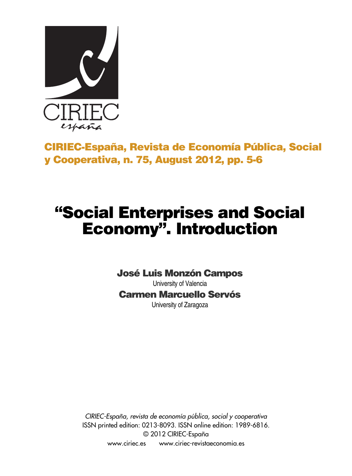

## **CIRIEC-España, Revista de Economía Pública, Social y Cooperativa, n. 75, August 2012, pp. 5-6**

## **"Social Enterprises and Social Economy" . Introduction**

## **José Luis Monzón Campos**

University of Valencia **Carmen Marcuello Servós** University of Zaragoza

*CIRIEC-España, revista de economía pública, social y cooperativa* ISSN printed edition: 0213-8093. ISSN online edition: 1989-6816. © 2012 CIRIEC-España www.ciriec.es www.ciriec-revistaeconomia.es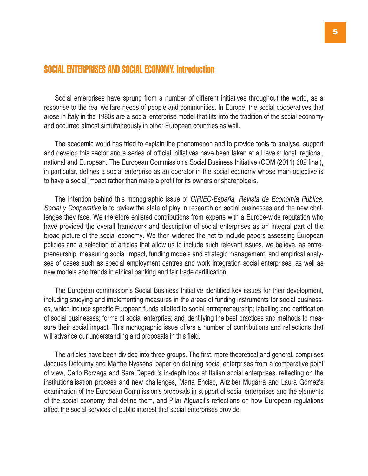## **SOCIAL ENTERPRISES AND SOCIAL ECONOMY. Introduction**

Social enterprises have sprung from a number of different initiatives throughout the world, as a response to the real welfare needs of people and communities. In Europe, the social cooperatives that arose in Italy in the 1980s are a social enterprise model that fits into the tradition of the social economy and occurred almost simultaneously in other European countries as well.

The academic world has tried to explain the phenomenon and to provide tools to analyse, support and develop this sector and a series of official initiatives have been taken at all levels: local, regional, national and European. The European Commission's Social Business Initiative (COM (2011) 682 final), in particular, defines a social enterprise as an operator in the social economy whose main objective is to have a social impact rather than make a profit for its owners or shareholders.

The intention behind this monographic issue of *CIRIEC-España, Revista de Economía Pública, Social y Cooperativa* is to review the state of play in research on social businesses and the new challenges they face. We therefore enlisted contributions from experts with a Europe-wide reputation who have provided the overall framework and description of social enterprises as an integral part of the broad picture of the social economy. We then widened the net to include papers assessing European policies and a selection of articles that allow us to include such relevant issues, we believe, as entrepreneurship, measuring social impact, funding models and strategic management, and empirical analyses of cases such as special employment centres and work integration social enterprises, as well as new models and trends in ethical banking and fair trade certification.

The European commission's Social Business Initiative identified key issues for their development, including studying and implementing measures in the areas of funding instruments for social businesses, which include specific European funds allotted to social entrepreneurship; labelling and certification of social businesses; forms of social enterprise; and identifying the best practices and methods to measure their social impact. This monographic issue offers a number of contributions and reflections that will advance our understanding and proposals in this field.

The articles have been divided into three groups. The first, more theoretical and general, comprises Jacques Defourny and Marthe Nyssens' paper on defining social enterprises from a comparative point of view, Carlo Borzaga and Sara Depedri's in-depth look at Italian social enterprises, reflecting on the institutionalisation process and new challenges, Marta Enciso, Aitziber Mugarra and Laura Gómez's examination of the European Commission's proposals in support of social enterprises and the elements of the social economy that define them, and Pilar Alguacil's reflections on how European regulations affect the social services of public interest that social enterprises provide.